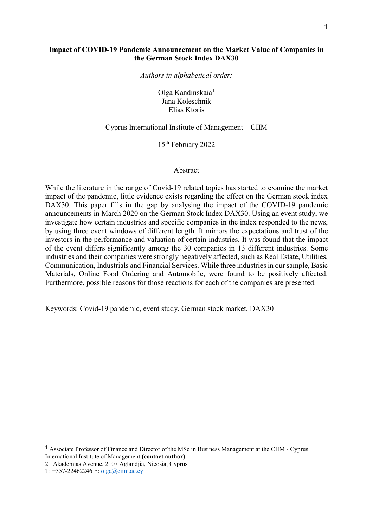### Impact of COVID-19 Pandemic Announcement on the Market Value of Companies in the German Stock Index DAX30

Authors in alphabetical order:

Olga Kandinskaia<sup>1</sup> Jana Koleschnik Elias Ktoris

### Cyprus International Institute of Management – CIIM

15th February 2022

#### Abstract

While the literature in the range of Covid-19 related topics has started to examine the market impact of the pandemic, little evidence exists regarding the effect on the German stock index DAX30. This paper fills in the gap by analysing the impact of the COVID-19 pandemic announcements in March 2020 on the German Stock Index DAX30. Using an event study, we investigate how certain industries and specific companies in the index responded to the news, by using three event windows of different length. It mirrors the expectations and trust of the investors in the performance and valuation of certain industries. It was found that the impact of the event differs significantly among the 30 companies in 13 different industries. Some industries and their companies were strongly negatively affected, such as Real Estate, Utilities, Communication, Industrials and Financial Services. While three industries in our sample, Basic Materials, Online Food Ordering and Automobile, were found to be positively affected. Furthermore, possible reasons for those reactions for each of the companies are presented.

Keywords: Covid-19 pandemic, event study, German stock market, DAX30

-

<sup>1</sup> Associate Professor of Finance and Director of the MSc in Business Management at the CIIM - Cyprus International Institute of Management (contact author)

<sup>21</sup> Akademias Avenue, 2107 Aglandjia, Nicosia, Cyprus

T: +357-22462246 E: olga@ciim.ac.cy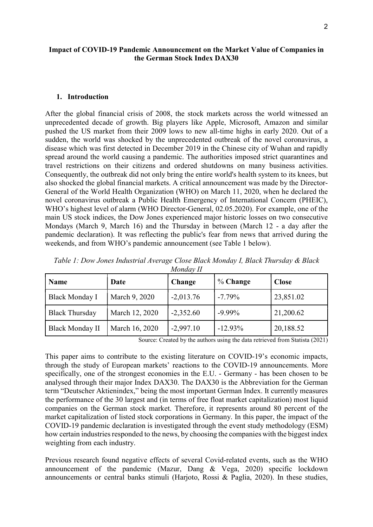### Impact of COVID-19 Pandemic Announcement on the Market Value of Companies in the German Stock Index DAX30

#### 1. Introduction

After the global financial crisis of 2008, the stock markets across the world witnessed an unprecedented decade of growth. Big players like Apple, Microsoft, Amazon and similar pushed the US market from their 2009 lows to new all-time highs in early 2020. Out of a sudden, the world was shocked by the unprecedented outbreak of the novel coronavirus, a disease which was first detected in December 2019 in the Chinese city of Wuhan and rapidly spread around the world causing a pandemic. The authorities imposed strict quarantines and travel restrictions on their citizens and ordered shutdowns on many business activities. Consequently, the outbreak did not only bring the entire world's health system to its knees, but also shocked the global financial markets. A critical announcement was made by the Director-General of the World Health Organization (WHO) on March 11, 2020, when he declared the novel coronavirus outbreak a Public Health Emergency of International Concern (PHEIC), WHO's highest level of alarm (WHO Director-General, 02.05.2020). For example, one of the main US stock indices, the Dow Jones experienced major historic losses on two consecutive Mondays (March 9, March 16) and the Thursday in between (March 12 - a day after the pandemic declaration). It was reflecting the public's fear from news that arrived during the weekends, and from WHO's pandemic announcement (see Table 1 below).

| <b>Name</b>            | Date           | Change      | % Change  | <b>Close</b> |
|------------------------|----------------|-------------|-----------|--------------|
| <b>Black Monday I</b>  | March 9, 2020  | $-2,013.76$ | $-7.79\%$ | 23,851.02    |
| <b>Black Thursday</b>  | March 12, 2020 | $-2,352.60$ | $-9.99\%$ | 21,200.62    |
| <b>Black Monday II</b> | March 16, 2020 | $-2,997.10$ | $-12.93%$ | 20,188.52    |

Table 1: Dow Jones Industrial Average Close Black Monday I, Black Thursday & Black  $M$ onday  $II$ 

Source: Created by the authors using the data retrieved from Statista (2021)

This paper aims to contribute to the existing literature on COVID-19's economic impacts, through the study of European markets' reactions to the COVID-19 announcements. More specifically, one of the strongest economies in the E.U. - Germany - has been chosen to be analysed through their major Index DAX30. The DAX30 is the Abbreviation for the German term "Deutscher Aktienindex," being the most important German Index. It currently measures the performance of the 30 largest and (in terms of free float market capitalization) most liquid companies on the German stock market. Therefore, it represents around 80 percent of the market capitalization of listed stock corporations in Germany. In this paper, the impact of the COVID-19 pandemic declaration is investigated through the event study methodology (ESM) how certain industries responded to the news, by choosing the companies with the biggest index weighting from each industry.

Previous research found negative effects of several Covid-related events, such as the WHO announcement of the pandemic (Mazur, Dang & Vega, 2020) specific lockdown announcements or central banks stimuli (Harjoto, Rossi & Paglia, 2020). In these studies,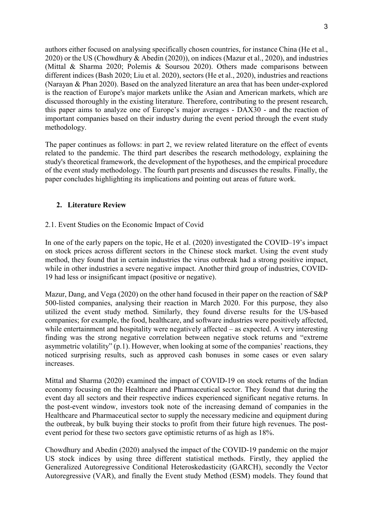authors either focused on analysing specifically chosen countries, for instance China (He et al., 2020) or the US (Chowdhury & Abedin (2020)), on indices (Mazur et al., 2020), and industries (Mittal & Sharma 2020; Polemis & Soursou 2020). Others made comparisons between different indices (Bash 2020; Liu et al. 2020), sectors (He et al., 2020), industries and reactions (Narayan & Phan 2020). Based on the analyzed literature an area that has been under-explored is the reaction of Europe's major markets unlike the Asian and American markets, which are discussed thoroughly in the existing literature. Therefore, contributing to the present research, this paper aims to analyze one of Europe's major averages - DAX30 - and the reaction of important companies based on their industry during the event period through the event study methodology.

The paper continues as follows: in part 2, we review related literature on the effect of events related to the pandemic. The third part describes the research methodology, explaining the study's theoretical framework, the development of the hypotheses, and the empirical procedure of the event study methodology. The fourth part presents and discusses the results. Finally, the paper concludes highlighting its implications and pointing out areas of future work.

# 2. Literature Review

# 2.1. Event Studies on the Economic Impact of Covid

In one of the early papers on the topic, He et al. (2020) investigated the COVID–19's impact on stock prices across different sectors in the Chinese stock market. Using the event study method, they found that in certain industries the virus outbreak had a strong positive impact, while in other industries a severe negative impact. Another third group of industries, COVID-19 had less or insignificant impact (positive or negative).

Mazur, Dang, and Vega (2020) on the other hand focused in their paper on the reaction of S&P 500-listed companies, analysing their reaction in March 2020. For this purpose, they also utilized the event study method. Similarly, they found diverse results for the US-based companies; for example, the food, healthcare, and software industries were positively affected, while entertainment and hospitality were negatively affected – as expected. A very interesting finding was the strong negative correlation between negative stock returns and "extreme asymmetric volatility" (p.1). However, when looking at some of the companies' reactions, they noticed surprising results, such as approved cash bonuses in some cases or even salary increases.

Mittal and Sharma (2020) examined the impact of COVID-19 on stock returns of the Indian economy focusing on the Healthcare and Pharmaceutical sector. They found that during the event day all sectors and their respective indices experienced significant negative returns. In the post-event window, investors took note of the increasing demand of companies in the Healthcare and Pharmaceutical sector to supply the necessary medicine and equipment during the outbreak, by bulk buying their stocks to profit from their future high revenues. The postevent period for these two sectors gave optimistic returns of as high as 18%.

Chowdhury and Abedin (2020) analysed the impact of the COVID-19 pandemic on the major US stock indices by using three different statistical methods. Firstly, they applied the Generalized Autoregressive Conditional Heteroskedasticity (GARCH), secondly the Vector Autoregressive (VAR), and finally the Event study Method (ESM) models. They found that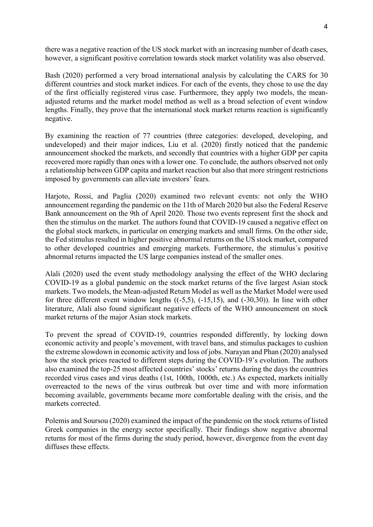there was a negative reaction of the US stock market with an increasing number of death cases, however, a significant positive correlation towards stock market volatility was also observed.

Bash (2020) performed a very broad international analysis by calculating the CARS for 30 different countries and stock market indices. For each of the events, they chose to use the day of the first officially registered virus case. Furthermore, they apply two models, the meanadjusted returns and the market model method as well as a broad selection of event window lengths. Finally, they prove that the international stock market returns reaction is significantly negative.

By examining the reaction of 77 countries (three categories: developed, developing, and undeveloped) and their major indices, Liu et al. (2020) firstly noticed that the pandemic announcement shocked the markets, and secondly that countries with a higher GDP per capita recovered more rapidly than ones with a lower one. To conclude, the authors observed not only a relationship between GDP capita and market reaction but also that more stringent restrictions imposed by governments can alleviate investors' fears.

Harjoto, Rossi, and Paglia (2020) examined two relevant events: not only the WHO announcement regarding the pandemic on the 11th of March 2020 but also the Federal Reserve Bank announcement on the 9th of April 2020. Those two events represent first the shock and then the stimulus on the market. The authors found that COVID-19 caused a negative effect on the global stock markets, in particular on emerging markets and small firms. On the other side, the Fed stimulus resulted in higher positive abnormal returns on the US stock market, compared to other developed countries and emerging markets. Furthermore, the stimulus´s positive abnormal returns impacted the US large companies instead of the smaller ones.

Alali (2020) used the event study methodology analysing the effect of the WHO declaring COVID-19 as a global pandemic on the stock market returns of the five largest Asian stock markets. Two models, the Mean-adjusted Return Model as well as the Market Model were used for three different event window lengths  $((-5,5), (-15,15), )$  and  $(-30,30)$ . In line with other literature, Alali also found significant negative effects of the WHO announcement on stock market returns of the major Asian stock markets.

To prevent the spread of COVID-19, countries responded differently, by locking down economic activity and people's movement, with travel bans, and stimulus packages to cushion the extreme slowdown in economic activity and loss of jobs. Narayan and Phan (2020) analysed how the stock prices reacted to different steps during the COVID-19's evolution. The authors also examined the top-25 most affected countries' stocks' returns during the days the countries recorded virus cases and virus deaths (1st, 100th, 1000th, etc.) As expected, markets initially overreacted to the news of the virus outbreak but over time and with more information becoming available, governments became more comfortable dealing with the crisis, and the markets corrected.

Polemis and Soursou (2020) examined the impact of the pandemic on the stock returns of listed Greek companies in the energy sector specifically. Their findings show negative abnormal returns for most of the firms during the study period, however, divergence from the event day diffuses these effects.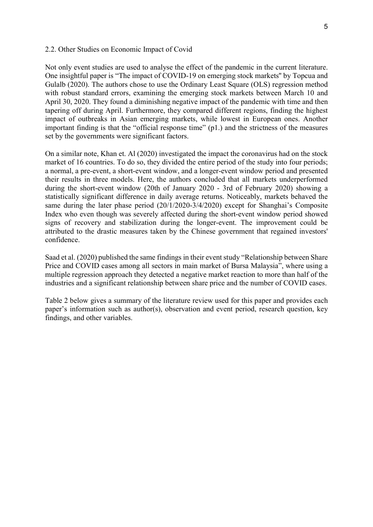#### 2.2. Other Studies on Economic Impact of Covid

Not only event studies are used to analyse the effect of the pandemic in the current literature. One insightful paper is "The impact of COVID-19 on emerging stock markets'' by Topcua and Gulalb (2020). The authors chose to use the Ordinary Least Square (OLS) regression method with robust standard errors, examining the emerging stock markets between March 10 and April 30, 2020. They found a diminishing negative impact of the pandemic with time and then tapering off during April. Furthermore, they compared different regions, finding the highest impact of outbreaks in Asian emerging markets, while lowest in European ones. Another important finding is that the "official response time" (p1.) and the strictness of the measures set by the governments were significant factors.

On a similar note, Khan et. Al (2020) investigated the impact the coronavirus had on the stock market of 16 countries. To do so, they divided the entire period of the study into four periods; a normal, a pre-event, a short-event window, and a longer-event window period and presented their results in three models. Here, the authors concluded that all markets underperformed during the short-event window (20th of January 2020 - 3rd of February 2020) showing a statistically significant difference in daily average returns. Noticeably, markets behaved the same during the later phase period (20/1/2020-3/4/2020) except for Shanghai's Composite Index who even though was severely affected during the short-event window period showed signs of recovery and stabilization during the longer-event. The improvement could be attributed to the drastic measures taken by the Chinese government that regained investors' confidence.

Saad et al. (2020) published the same findings in their event study "Relationship between Share Price and COVID cases among all sectors in main market of Bursa Malaysia", where using a multiple regression approach they detected a negative market reaction to more than half of the industries and a significant relationship between share price and the number of COVID cases.

Table 2 below gives a summary of the literature review used for this paper and provides each paper's information such as author(s), observation and event period, research question, key findings, and other variables.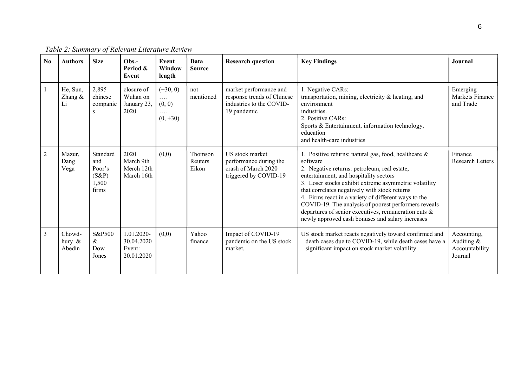| N <sub>0</sub> | <b>Authors</b>                | <b>Size</b>                                             | $Obs. -$<br>Period &<br>Event                    | Event<br>Window<br>length                           | Data<br><b>Source</b>              | <b>Research question</b>                                                                        | <b>Key Findings</b>                                                                                                                                                                                                                                                                                                                                                                                                                                                                                 | Journal                                                |
|----------------|-------------------------------|---------------------------------------------------------|--------------------------------------------------|-----------------------------------------------------|------------------------------------|-------------------------------------------------------------------------------------------------|-----------------------------------------------------------------------------------------------------------------------------------------------------------------------------------------------------------------------------------------------------------------------------------------------------------------------------------------------------------------------------------------------------------------------------------------------------------------------------------------------------|--------------------------------------------------------|
|                | He, Sun,<br>Zhang &<br>Li     | 2,895<br>chinese<br>companie<br>S                       | closure of<br>Wuhan on<br>January 23,<br>2020    | $(-30, 0)$<br>$\cdots$<br>(0, 0)<br>.<br>$(0, +30)$ | not<br>mentioned                   | market performance and<br>response trends of Chinese<br>industries to the COVID-<br>19 pandemic | 1. Negative CARs:<br>transportation, mining, electricity & heating, and<br>environment<br>industries.<br>2. Positive CARs:<br>Sports & Entertainment, information technology,<br>education<br>and health-care industries                                                                                                                                                                                                                                                                            | Emerging<br>Markets Finance<br>and Trade               |
| 2              | Mazur,<br>Dang<br>Vega        | Standard<br>and<br>Poor's<br>$(S\&P)$<br>1.500<br>firms | 2020<br>March 9th<br>Merch 12th<br>March 16th    | (0,0)                                               | Thomson<br><b>Reuters</b><br>Eikon | US stock market<br>performance during the<br>crash of March 2020<br>triggered by COVID-19       | 1. Positive returns: natural gas, food, healthcare &<br>software<br>2. Negative returns: petroleum, real estate,<br>entertainment, and hospitality sectors<br>3. Loser stocks exhibit extreme asymmetric volatility<br>that correlates negatively with stock returns<br>4. Firms react in a variety of different ways to the<br>COVID-19. The analysis of poorest performers reveals<br>departures of senior executives, remuneration cuts $\&$<br>newly approved cash bonuses and salary increases | Finance<br><b>Research Letters</b>                     |
| $\mathfrak{Z}$ | Chowd-<br>hury $\&$<br>Abedin | S&P500<br>$\&$<br>Dow<br>Jones                          | 1.01.2020-<br>30.04.2020<br>Event:<br>20.01.2020 | (0,0)                                               | Yahoo<br>finance                   | Impact of COVID-19<br>pandemic on the US stock<br>market.                                       | US stock market reacts negatively toward confirmed and<br>death cases due to COVID-19, while death cases have a<br>significant impact on stock market volatility                                                                                                                                                                                                                                                                                                                                    | Accounting,<br>Auditing &<br>Accountability<br>Journal |

Table 2: Summary of Relevant Literature Review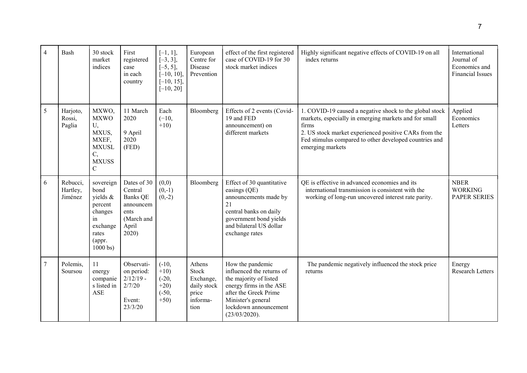| $\overline{4}$ | Bash                            | 30 stock<br>market<br>indices                                                                                 | First<br>registered<br>case<br>in each<br>country                                             | $[-1, 1],$<br>$[-3, 3],$<br>$[-5, 5],$<br>$[-10, 10],$<br>$[-10, 15],$<br>$[-10, 20]$ | European<br>Centre for<br>Disease<br>Prevention                          | effect of the first registered<br>case of COVID-19 for 30<br>stock market indices                                                                                                           | Highly significant negative effects of COVID-19 on all<br>index returns                                                                                                                                                                                          | International<br>Journal of<br>Economics and<br><b>Financial Issues</b> |
|----------------|---------------------------------|---------------------------------------------------------------------------------------------------------------|-----------------------------------------------------------------------------------------------|---------------------------------------------------------------------------------------|--------------------------------------------------------------------------|---------------------------------------------------------------------------------------------------------------------------------------------------------------------------------------------|------------------------------------------------------------------------------------------------------------------------------------------------------------------------------------------------------------------------------------------------------------------|-------------------------------------------------------------------------|
| 5              | Harjoto,<br>Rossi,<br>Paglia    | MXWO,<br><b>MXWO</b><br>U,<br>MXUS,<br>MXEF,<br><b>MXUSL</b><br>C,<br><b>MXUSS</b><br>$\mathbf C$             | 11 March<br>2020<br>9 April<br>2020<br>(FED)                                                  | Each<br>$(-10,$<br>$+10)$                                                             | Bloomberg                                                                | Effects of 2 events (Covid-<br>19 and FED<br>announcement) on<br>different markets                                                                                                          | 1. COVID-19 caused a negative shock to the global stock<br>markets, especially in emerging markets and for small<br>firms<br>2. US stock market experienced positive CARs from the<br>Fed stimulus compared to other developed countries and<br>emerging markets | Applied<br>Economics<br>Letters                                         |
| 6              | Rebucci,<br>Hartley,<br>Jiménez | sovereign<br>bond<br>yields &<br>percent<br>changes<br>in<br>exchange<br>rates<br>(appr.<br>$1000 \text{ bs}$ | Dates of 30<br>Central<br><b>Banks QE</b><br>announcem<br>ents<br>(March and<br>April<br>2020 | (0,0)<br>$(0,-1)$<br>$(0,-2)$                                                         | Bloomberg                                                                | Effect of 30 quantitative<br>easings (QE)<br>announcements made by<br>21<br>central banks on daily<br>government bond yields<br>and bilateral US dollar<br>exchange rates                   | QE is effective in advanced economies and its<br>international transmission is consistent with the<br>working of long-run uncovered interest rate parity.                                                                                                        | <b>NBER</b><br><b>WORKING</b><br><b>PAPER SERIES</b>                    |
| $\tau$         | Polemis,<br>Soursou             | 11<br>energy<br>companie<br>s listed in<br><b>ASE</b>                                                         | Observati-<br>on period:<br>$2/12/19$ -<br>2/7/20<br>Event:<br>23/3/20                        | $(-10,$<br>$+10)$<br>$(-20,$<br>$+20)$<br>$(-50,$<br>$+50)$                           | Athens<br>Stock<br>Exchange,<br>daily stock<br>price<br>informa-<br>tion | How the pandemic<br>influenced the returns of<br>the majority of listed<br>energy firms in the ASE<br>after the Greek Prime<br>Minister's general<br>lockdown announcement<br>(23/03/2020). | The pandemic negatively influenced the stock price<br>returns                                                                                                                                                                                                    | Energy<br><b>Research Letters</b>                                       |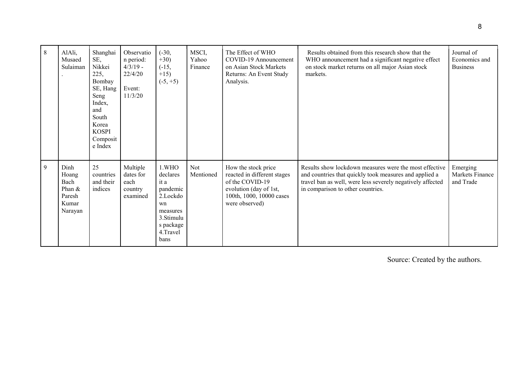| 8 | AlAli,<br>Musaed<br>Sulaiman                                    | Shanghai<br>SE,<br>Nikkei<br>225,<br>Bombay<br>SE, Hang<br>Seng<br>Index,<br>and<br>South<br>Korea<br><b>KOSPI</b><br>Composit<br>e Index | Observatio<br>n period:<br>$4/3/19$ -<br>22/4/20<br>Event:<br>11/3/20 | $(-30,$<br>$+30)$<br>$(-15,$<br>$+15)$<br>$(-5, +5)$                                                              | MSCI,<br>Yahoo<br>Finance | The Effect of WHO<br>COVID-19 Announcement<br>on Asian Stock Markets<br>Returns: An Event Study<br>Analysis.                                  | Results obtained from this research show that the<br>WHO announcement had a significant negative effect<br>on stock market returns on all major Asian stock<br>markets.                                             | Journal of<br>Economics and<br><b>Business</b> |
|---|-----------------------------------------------------------------|-------------------------------------------------------------------------------------------------------------------------------------------|-----------------------------------------------------------------------|-------------------------------------------------------------------------------------------------------------------|---------------------------|-----------------------------------------------------------------------------------------------------------------------------------------------|---------------------------------------------------------------------------------------------------------------------------------------------------------------------------------------------------------------------|------------------------------------------------|
| 9 | Dinh<br>Hoang<br>Bach<br>Phan $&$<br>Paresh<br>Kumar<br>Narayan | 25<br>countries<br>and their<br>indices                                                                                                   | Multiple<br>dates for<br>each<br>country<br>examined                  | 1.WHO<br>declares<br>it a<br>pandemic<br>2.Lockdo<br>wn<br>measures<br>3.Stimulu<br>s package<br>4.Travel<br>bans | Not<br>Mentioned          | How the stock price<br>reacted in different stages<br>of the COVID-19<br>evolution (day of 1st,<br>100th, 1000, 10000 cases<br>were observed) | Results show lockdown measures were the most effective<br>and countries that quickly took measures and applied a<br>travel ban as well, were less severely negatively affected<br>in comparison to other countries. | Emerging<br>Markets Finance<br>and Trade       |

Source: Created by the authors.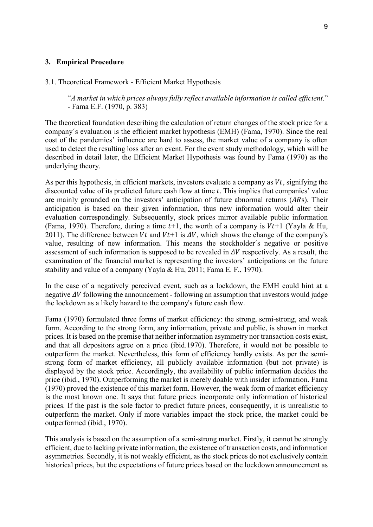### 3. Empirical Procedure

#### 3.1. Theoretical Framework - Efficient Market Hypothesis

"A market in which prices always fully reflect available information is called efficient." - Fama E.F. (1970, p. 383)

The theoretical foundation describing the calculation of return changes of the stock price for a company´s evaluation is the efficient market hypothesis (EMH) (Fama, 1970). Since the real cost of the pandemics' influence are hard to assess, the market value of a company is often used to detect the resulting loss after an event. For the event study methodology, which will be described in detail later, the Efficient Market Hypothesis was found by Fama (1970) as the underlying theory.

As per this hypothesis, in efficient markets, investors evaluate a company as  $Vt$ , signifying the discounted value of its predicted future cash flow at time  $t$ . This implies that companies' value are mainly grounded on the investors' anticipation of future abnormal returns  $(ARs)$ . Their anticipation is based on their given information, thus new information would alter their evaluation correspondingly. Subsequently, stock prices mirror available public information (Fama, 1970). Therefore, during a time  $t+1$ , the worth of a company is  $Vt+1$  (Yayla & Hu, 2011). The difference between *Vt* and *Vt*+1 is  $\Delta V$ , which shows the change of the company's value, resulting of new information. This means the stockholder´s negative or positive assessment of such information is supposed to be revealed in  $\Delta V$  respectively. As a result, the examination of the financial market is representing the investors' anticipations on the future stability and value of a company (Yayla & Hu, 2011; Fama E. F., 1970).

In the case of a negatively perceived event, such as a lockdown, the EMH could hint at a negative  $\Delta V$  following the announcement - following an assumption that investors would judge the lockdown as a likely hazard to the company's future cash flow.

Fama (1970) formulated three forms of market efficiency: the strong, semi-strong, and weak form. According to the strong form, any information, private and public, is shown in market prices. It is based on the premise that neither information asymmetry nor transaction costs exist, and that all depositors agree on a price (ibid.1970). Therefore, it would not be possible to outperform the market. Nevertheless, this form of efficiency hardly exists. As per the semistrong form of market efficiency, all publicly available information (but not private) is displayed by the stock price. Accordingly, the availability of public information decides the price (ibid., 1970). Outperforming the market is merely doable with insider information. Fama (1970) proved the existence of this market form. However, the weak form of market efficiency is the most known one. It says that future prices incorporate only information of historical prices. If the past is the sole factor to predict future prices, consequently, it is unrealistic to outperform the market. Only if more variables impact the stock price, the market could be outperformed (ibid., 1970).

This analysis is based on the assumption of a semi-strong market. Firstly, it cannot be strongly efficient, due to lacking private information, the existence of transaction costs, and information asymmetries. Secondly, it is not weakly efficient, as the stock prices do not exclusively contain historical prices, but the expectations of future prices based on the lockdown announcement as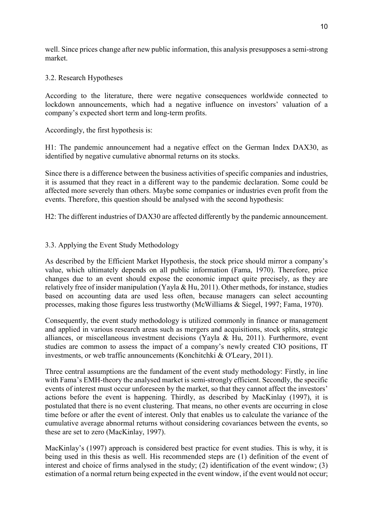well. Since prices change after new public information, this analysis presupposes a semi-strong market.

## 3.2. Research Hypotheses

According to the literature, there were negative consequences worldwide connected to lockdown announcements, which had a negative influence on investors' valuation of a company's expected short term and long-term profits.

## Accordingly, the first hypothesis is:

H1: The pandemic announcement had a negative effect on the German Index DAX30, as identified by negative cumulative abnormal returns on its stocks.

Since there is a difference between the business activities of specific companies and industries, it is assumed that they react in a different way to the pandemic declaration. Some could be affected more severely than others. Maybe some companies or industries even profit from the events. Therefore, this question should be analysed with the second hypothesis:

H2: The different industries of DAX30 are affected differently by the pandemic announcement.

# 3.3. Applying the Event Study Methodology

As described by the Efficient Market Hypothesis, the stock price should mirror a company's value, which ultimately depends on all public information (Fama, 1970). Therefore, price changes due to an event should expose the economic impact quite precisely, as they are relatively free of insider manipulation (Yayla & Hu, 2011). Other methods, for instance, studies based on accounting data are used less often, because managers can select accounting processes, making those figures less trustworthy (McWilliams & Siegel, 1997; Fama, 1970).

Consequently, the event study methodology is utilized commonly in finance or management and applied in various research areas such as mergers and acquisitions, stock splits, strategic alliances, or miscellaneous investment decisions (Yayla & Hu, 2011). Furthermore, event studies are common to assess the impact of a company's newly created CIO positions, IT investments, or web traffic announcements (Konchitchki & O'Leary, 2011).

Three central assumptions are the fundament of the event study methodology: Firstly, in line with Fama's EMH-theory the analysed market is semi-strongly efficient. Secondly, the specific events of interest must occur unforeseen by the market, so that they cannot affect the investors' actions before the event is happening. Thirdly, as described by MacKinlay (1997), it is postulated that there is no event clustering. That means, no other events are occurring in close time before or after the event of interest. Only that enables us to calculate the variance of the cumulative average abnormal returns without considering covariances between the events, so these are set to zero (MacKinlay, 1997).

MacKinlay's (1997) approach is considered best practice for event studies. This is why, it is being used in this thesis as well. His recommended steps are (1) definition of the event of interest and choice of firms analysed in the study; (2) identification of the event window; (3) estimation of a normal return being expected in the event window, if the event would not occur;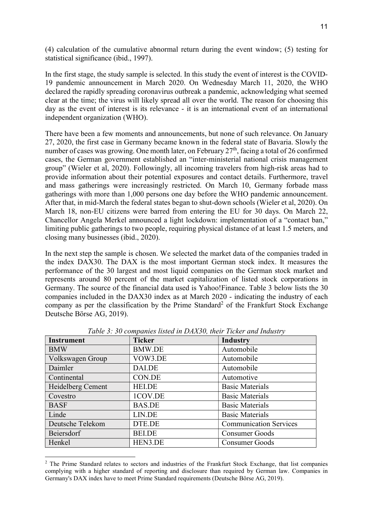(4) calculation of the cumulative abnormal return during the event window; (5) testing for statistical significance (ibid., 1997).

In the first stage, the study sample is selected. In this study the event of interest is the COVID-19 pandemic announcement in March 2020. On Wednesday March 11, 2020, the WHO declared the rapidly spreading coronavirus outbreak a pandemic, acknowledging what seemed clear at the time; the virus will likely spread all over the world. The reason for choosing this day as the event of interest is its relevance - it is an international event of an international independent organization (WHO).

There have been a few moments and announcements, but none of such relevance. On January 27, 2020, the first case in Germany became known in the federal state of Bavaria. Slowly the number of cases was growing. One month later, on February 27<sup>th</sup>, facing a total of 26 confirmed cases, the German government established an "inter-ministerial national crisis management group" (Wieler et al, 2020). Followingly, all incoming travelers from high-risk areas had to provide information about their potential exposures and contact details. Furthermore, travel and mass gatherings were increasingly restricted. On March 10, Germany forbade mass gatherings with more than 1,000 persons one day before the WHO pandemic announcement. After that, in mid-March the federal states began to shut-down schools (Wieler et al, 2020). On March 18, non-EU citizens were barred from entering the EU for 30 days. On March 22, Chancellor Angela Merkel announced a light lockdown: implementation of a "contact ban," limiting public gatherings to two people, requiring physical distance of at least 1.5 meters, and closing many businesses (ibid., 2020).

In the next step the sample is chosen. We selected the market data of the companies traded in the index DAX30. The DAX is the most important German stock index. It measures the performance of the 30 largest and most liquid companies on the German stock market and represents around 80 percent of the market capitalization of listed stock corporations in Germany. The source of the financial data used is Yahoo!Finance. Table 3 below lists the 30 companies included in the DAX30 index as at March 2020 - indicating the industry of each company as per the classification by the Prime Standard<sup>2</sup> of the Frankfurt Stock Exchange Deutsche Börse AG, 2019).

| <b>Instrument</b> | <b>Ticker</b> | <b>Industry</b>               |
|-------------------|---------------|-------------------------------|
| <b>BMW</b>        | <b>BMW.DE</b> | Automobile                    |
| Volkswagen Group  | VOW3.DE       | Automobile                    |
| Daimler           | DAI.DE        | Automobile                    |
| Continental       | CON.DE        | Automotive                    |
| Heidelberg Cement | <b>HEI.DE</b> | <b>Basic Materials</b>        |
| Covestro          | 1COV.DE       | <b>Basic Materials</b>        |
| <b>BASF</b>       | <b>BAS.DE</b> | <b>Basic Materials</b>        |
| Linde             | LIN.DE        | <b>Basic Materials</b>        |
| Deutsche Telekom  | DTE.DE        | <b>Communication Services</b> |
| Beiersdorf        | <b>BEI.DE</b> | <b>Consumer Goods</b>         |
| Henkel            | HEN3.DE       | <b>Consumer Goods</b>         |

Table 3: 30 companies listed in DAX30, their Ticker and Industry

-

<sup>&</sup>lt;sup>2</sup> The Prime Standard relates to sectors and industries of the Frankfurt Stock Exchange, that list companies complying with a higher standard of reporting and disclosure than required by German law. Companies in Germany's DAX index have to meet Prime Standard requirements (Deutsche Börse AG, 2019).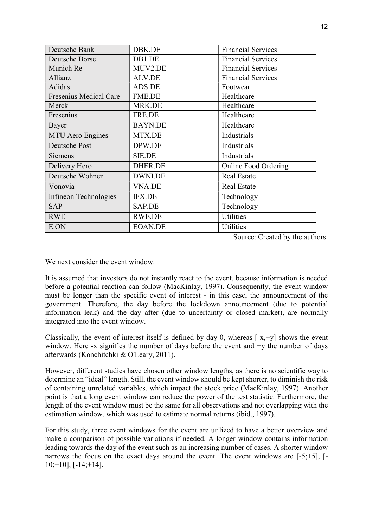| Deutsche Bank                 | DBK.DE         | <b>Financial Services</b>   |
|-------------------------------|----------------|-----------------------------|
| Deutsche Borse                | DB1.DE         | <b>Financial Services</b>   |
| Munich Re                     | MUV2.DE        | <b>Financial Services</b>   |
| Allianz                       | <b>ALV.DE</b>  | <b>Financial Services</b>   |
| Adidas                        | ADS.DE         | Footwear                    |
| <b>Fresenius Medical Care</b> | <b>FME.DE</b>  | Healthcare                  |
| Merck                         | MRK.DE         | Healthcare                  |
| Fresenius                     | FRE.DE         | Healthcare                  |
| Bayer                         | <b>BAYN.DE</b> | Healthcare                  |
| <b>MTU Aero Engines</b>       | MTX.DE         | Industrials                 |
| Deutsche Post                 | DPW.DE         | Industrials                 |
| <b>Siemens</b>                | <b>SIE.DE</b>  | Industrials                 |
| Delivery Hero                 | DHER.DE        | <b>Online Food Ordering</b> |
| Deutsche Wohnen               | DWNI.DE        | <b>Real Estate</b>          |
| Vonovia                       | <b>VNA.DE</b>  | Real Estate                 |
| Infineon Technologies         | <b>IFX.DE</b>  | Technology                  |
| <b>SAP</b>                    | SAP.DE         | Technology                  |
| <b>RWE</b>                    | RWE.DE         | <b>Utilities</b>            |
| E.ON                          | <b>EOAN.DE</b> | Utilities                   |

Source: Created by the authors.

We next consider the event window.

It is assumed that investors do not instantly react to the event, because information is needed before a potential reaction can follow (MacKinlay, 1997). Consequently, the event window must be longer than the specific event of interest - in this case, the announcement of the government. Therefore, the day before the lockdown announcement (due to potential information leak) and the day after (due to uncertainty or closed market), are normally integrated into the event window.

Classically, the event of interest itself is defined by day-0, whereas  $[-x, +y]$  shows the event window. Here -x signifies the number of days before the event and +y the number of days afterwards (Konchitchki & O'Leary, 2011).

However, different studies have chosen other window lengths, as there is no scientific way to determine an "ideal" length. Still, the event window should be kept shorter, to diminish the risk of containing unrelated variables, which impact the stock price (MacKinlay, 1997). Another point is that a long event window can reduce the power of the test statistic. Furthermore, the length of the event window must be the same for all observations and not overlapping with the estimation window, which was used to estimate normal returns (ibid., 1997).

For this study, three event windows for the event are utilized to have a better overview and make a comparison of possible variations if needed. A longer window contains information leading towards the day of the event such as an increasing number of cases. A shorter window narrows the focus on the exact days around the event. The event windows are [-5;+5], [- $10;+10$ ],  $[-14;+14]$ .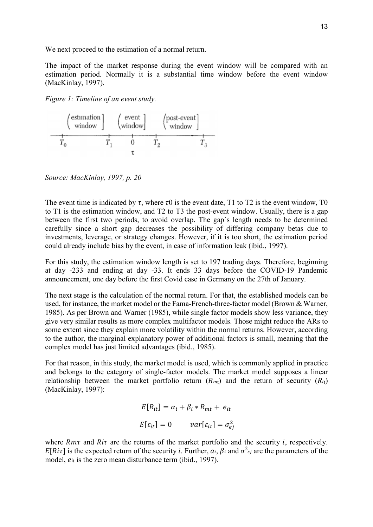We next proceed to the estimation of a normal return.

The impact of the market response during the event window will be compared with an estimation period. Normally it is a substantial time window before the event window (MacKinlay, 1997).

Figure 1: Timeline of an event study.



Source: MacKinlay, 1997, p. 20

The event time is indicated by  $\tau$ , where  $\tau$ 0 is the event date, T1 to T2 is the event window, T0 to T1 is the estimation window, and T2 to T3 the post-event window. Usually, there is a gap between the first two periods, to avoid overlap. The gap´s length needs to be determined carefully since a short gap decreases the possibility of differing company betas due to investments, leverage, or strategy changes. However, if it is too short, the estimation period could already include bias by the event, in case of information leak (ibid., 1997).

For this study, the estimation window length is set to 197 trading days. Therefore, beginning at day -233 and ending at day -33. It ends 33 days before the COVID-19 Pandemic announcement, one day before the first Covid case in Germany on the 27th of January.

The next stage is the calculation of the normal return. For that, the established models can be used, for instance, the market model or the Fama-French-three-factor model (Brown & Warner, 1985). As per Brown and Warner (1985), while single factor models show less variance, they give very similar results as more complex multifactor models. Those might reduce the ARs to some extent since they explain more volatility within the normal returns. However, according to the author, the marginal explanatory power of additional factors is small, meaning that the complex model has just limited advantages (ibid., 1985).

For that reason, in this study, the market model is used, which is commonly applied in practice and belongs to the category of single-factor models. The market model supposes a linear relationship between the market portfolio return  $(R_{m1})$  and the return of security  $(R_{ti})$ (MacKinlay, 1997):

$$
E[R_{it}] = \alpha_i + \beta_i * R_{mt} + e_{it}
$$
  

$$
E[\varepsilon_{it}] = 0 \qquad var[\varepsilon_{it}] = \sigma_{ej}^2
$$

where  $Rm\tau$  and  $Ri\tau$  are the returns of the market portfolio and the security *i*, respectively.  $E[Ri\tau]$  is the expected return of the security *i*. Further,  $a_i$ ,  $\beta_i$  and  $\sigma^2_{ij}$  are the parameters of the model,  $e_{it}$  is the zero mean disturbance term (ibid., 1997).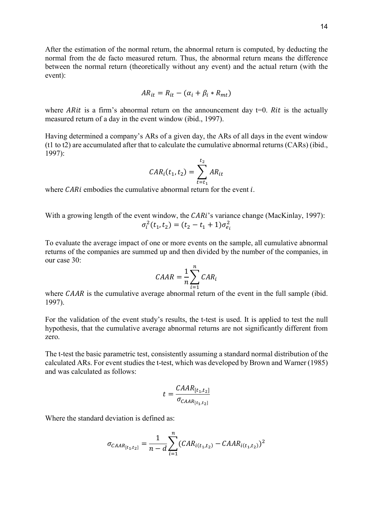After the estimation of the normal return, the abnormal return is computed, by deducting the normal from the de facto measured return. Thus, the abnormal return means the difference between the normal return (theoretically without any event) and the actual return (with the event):

$$
AR_{it} = R_{it} - (\alpha_i + \beta_i * R_{mt})
$$

where ARit is a firm's abnormal return on the announcement day t=0. Rit is the actually measured return of a day in the event window (ibid., 1997).

Having determined a company's ARs of a given day, the ARs of all days in the event window (t1 to t2) are accumulated after that to calculate the cumulative abnormal returns (CARs) (ibid., 1997):

$$
CAR_i(t_1, t_2) = \sum_{t=t_1}^{t_2} AR_{it}
$$

where  $\mathit{CAR}$  i embodies the cumulative abnormal return for the event i.

With a growing length of the event window, the  $CARi$ 's variance change (MacKinlay, 1997):  $\sigma_i^2(t_1, t_2) = (t_2 - t_1 + 1)\sigma_{e_i}^2$ 

To evaluate the average impact of one or more events on the sample, all cumulative abnormal returns of the companies are summed up and then divided by the number of the companies, in our case 30:

$$
CABA = \frac{1}{n} \sum_{i=1}^{n} CAR_i
$$

where  $CAAR$  is the cumulative average abnormal return of the event in the full sample (ibid. 1997).

For the validation of the event study's results, the t-test is used. It is applied to test the null hypothesis, that the cumulative average abnormal returns are not significantly different from zero.

The t-test the basic parametric test, consistently assuming a standard normal distribution of the calculated ARs. For event studies the t-test, which was developed by Brown and Warner (1985) and was calculated as follows:

$$
t = \frac{CAR_{[t_1, t_2]}}{\sigma_{C A A R_{[t_1, t_2]}}}
$$

Where the standard deviation is defined as:

$$
\sigma_{CAR[t_1, t_2]} = \frac{1}{n - d} \sum_{i=1}^{n} (CAR_{i(t_1, t_2)} - CAR_{i(t_1, t_2)})^2
$$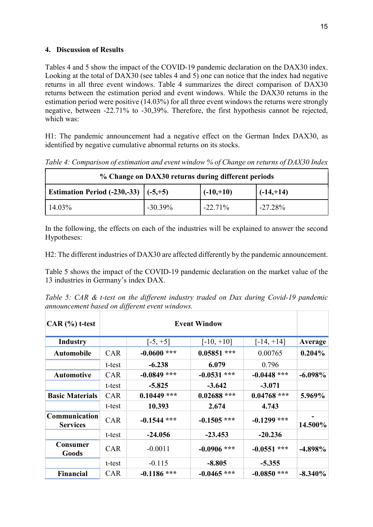## 4. Discussion of Results

Tables 4 and 5 show the impact of the COVID-19 pandemic declaration on the DAX30 index. Looking at the total of DAX30 (see tables 4 and 5) one can notice that the index had negative returns in all three event windows. Table 4 summarizes the direct comparison of DAX30 returns between the estimation period and event windows. While the DAX30 returns in the estimation period were positive (14.03%) for all three event windows the returns were strongly negative, between -22.71% to -30,39%. Therefore, the first hypothesis cannot be rejected, which was:

H1: The pandemic announcement had a negative effect on the German Index DAX30, as identified by negative cumulative abnormal returns on its stocks.

|                                                | % Change on DAX30 returns during different periods |             |              |
|------------------------------------------------|----------------------------------------------------|-------------|--------------|
| <b>Estimation Period (-230,-33)</b> $(-5, +5)$ |                                                    | $(-10,+10)$ | $(-14, +14)$ |
| 14.03%                                         | $-30.39%$                                          | $-22.71%$   | $-27.28%$    |

Table 4: Comparison of estimation and event window % of Change on returns of DAX30 Index

In the following, the effects on each of the industries will be explained to answer the second Hypotheses:

H2: The different industries of DAX30 are affected differently by the pandemic announcement.

Table 5 shows the impact of the COVID-19 pandemic declaration on the market value of the 13 industries in Germany's index DAX.

Table 5: CAR & t-test on the different industry traded on Dax during Covid-19 pandemic announcement based on different event windows.

| $CAR$ $%$ t-test                 |            |               | <b>Event Window</b> |               |            |
|----------------------------------|------------|---------------|---------------------|---------------|------------|
| <b>Industry</b>                  |            | $[-5, +5]$    | $[-10, +10]$        | $[-14, +14]$  | Average    |
| <b>Automobile</b>                | CAR        | $-0.0600$ *** | $0.05851$ ***       | 0.00765       | 0.204%     |
|                                  | t-test     | $-6.238$      | 6.079               | 0.796         |            |
| <b>Automotive</b>                | <b>CAR</b> | $-0.0849$ *** | $-0.0531$ ***       | $-0.0448$ *** | $-6.098\%$ |
|                                  | t-test     | $-5.825$      | $-3.642$            | $-3.071$      |            |
| <b>Basic Materials</b>           | <b>CAR</b> | $0.10449$ *** | $0.02688$ ***       | $0.04768$ *** | 5.969%     |
|                                  | t-test     | 10.393        | 2.674               | 4.743         |            |
| Communication<br><b>Services</b> | <b>CAR</b> | $-0.1544$ *** | $-0.1505$ ***       | $-0.1299$ *** | 14.500%    |
|                                  | t-test     | $-24.056$     | $-23.453$           | $-20.236$     |            |
| Consumer<br>Goods                | <b>CAR</b> | $-0.0011$     | $-0.0906$ ***       | $-0.0551$ *** | $-4.898\%$ |
|                                  | t-test     | $-0.115$      | $-8.805$            | $-5.355$      |            |
| <b>Financial</b>                 | <b>CAR</b> | $-0.1186$ *** | $-0.0465$ ***       | $-0.0850$ *** | $-8.340\%$ |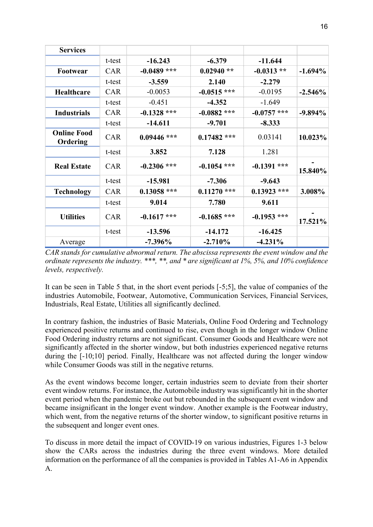| <b>Services</b>                |            |               |               |               |            |
|--------------------------------|------------|---------------|---------------|---------------|------------|
|                                | t-test     | $-16.243$     | $-6.379$      | $-11.644$     |            |
| Footwear                       | <b>CAR</b> | $-0.0489$ *** | $0.02940**$   | $-0.0313**$   | $-1.694\%$ |
|                                | t-test     | $-3.559$      | 2.140         | $-2.279$      |            |
| Healthcare                     | <b>CAR</b> | $-0.0053$     | $-0.0515$ *** | $-0.0195$     | $-2.546%$  |
|                                | t-test     | $-0.451$      | $-4.352$      | $-1.649$      |            |
| <b>Industrials</b>             | <b>CAR</b> | $-0.1328$ *** | $-0.0882$ *** | $-0.0757$ *** | $-9.894\%$ |
|                                | t-test     | $-14.611$     | $-9.701$      | $-8.333$      |            |
| <b>Online Food</b><br>Ordering | <b>CAR</b> | $0.09446$ *** | $0.17482$ *** | 0.03141       | 10.023%    |
|                                | t-test     | 3.852         | 7.128         | 1.281         |            |
| <b>Real Estate</b>             | <b>CAR</b> | $-0.2306$ *** | $-0.1054$ *** | $-0.1391$ *** | 15.840%    |
|                                | t-test     | $-15.981$     | $-7.306$      | $-9.643$      |            |
| <b>Technology</b>              | <b>CAR</b> | $0.13058$ *** | $0.11270$ *** | $0.13923$ *** | 3.008%     |
|                                | t-test     | 9.014         | 7.780         | 9.611         |            |
| <b>Utilities</b>               | <b>CAR</b> | $-0.1617$ *** | $-0.1685$ *** | $-0.1953$ *** | 17.521%    |
|                                | t-test     | $-13.596$     | $-14.172$     | $-16.425$     |            |
| Average                        |            | $-7.396\%$    | $-2.710%$     | $-4.231\%$    |            |

CAR stands for cumulative abnormal return. The abscissa represents the event window and the ordinate represents the industry. \*\*\*, \*\*, and \* are significant at 1%, 5%, and 10% confidence levels, respectively.

It can be seen in Table 5 that, in the short event periods [-5;5], the value of companies of the industries Automobile, Footwear, Automotive, Communication Services, Financial Services, Industrials, Real Estate, Utilities all significantly declined.

In contrary fashion, the industries of Basic Materials, Online Food Ordering and Technology experienced positive returns and continued to rise, even though in the longer window Online Food Ordering industry returns are not significant. Consumer Goods and Healthcare were not significantly affected in the shorter window, but both industries experienced negative returns during the [-10;10] period. Finally, Healthcare was not affected during the longer window while Consumer Goods was still in the negative returns.

As the event windows become longer, certain industries seem to deviate from their shorter event window returns. For instance, the Automobile industry was significantly hit in the shorter event period when the pandemic broke out but rebounded in the subsequent event window and became insignificant in the longer event window. Another example is the Footwear industry, which went, from the negative returns of the shorter window, to significant positive returns in the subsequent and longer event ones.

To discuss in more detail the impact of COVID-19 on various industries, Figures 1-3 below show the CARs across the industries during the three event windows. More detailed information on the performance of all the companies is provided in Tables A1-A6 in Appendix A.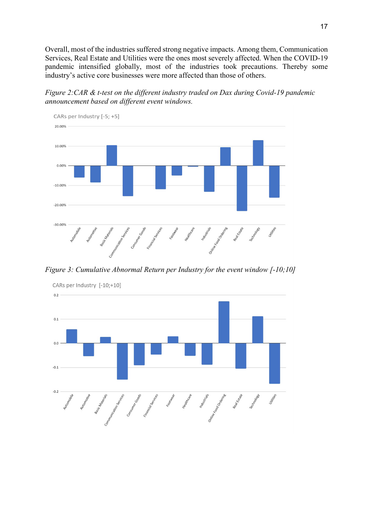Overall, most of the industries suffered strong negative impacts. Among them, Communication Services, Real Estate and Utilities were the ones most severely affected. When the COVID-19 pandemic intensified globally, most of the industries took precautions. Thereby some industry's active core businesses were more affected than those of others.

Figure 2:CAR & t-test on the different industry traded on Dax during Covid-19 pandemic announcement based on different event windows.



Figure 3: Cumulative Abnormal Return per Industry for the event window [-10;10]



CARs per Industry [-10;+10]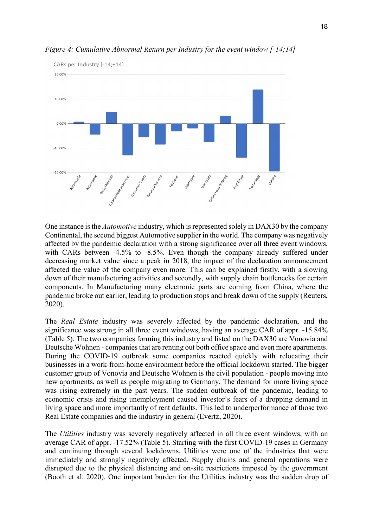

Figure 4: Cumulative Abnormal Return per Industry for the event window [-14;14]

One instance is the *Automotive* industry, which is represented solely in DAX30 by the company Continental, the second biggest Automotive supplier in the world. The company was negatively affected by the pandemic declaration with a strong significance over all three event windows, with CARs between -4.5% to -8.5%. Even though the company already suffered under decreasing market value since a peak in 2018, the impact of the declaration announcement affected the value of the company even more. This can be explained firstly, with a slowing down of their manufacturing activities and secondly, with supply chain bottlenecks for certain components. In Manufacturing many electronic parts are coming from China, where the pandemic broke out earlier, leading to production stops and break down of the supply (Reuters, 2020).

The Real Estate industry was severely affected by the pandemic declaration, and the significance was strong in all three event windows, having an average CAR of appr. -15.84% (Table 5). The two companies forming this industry and listed on the DAX30 are Vonovia and Deutsche Wohnen - companies that are renting out both office space and even more apartments. During the COVID-19 outbreak some companies reacted quickly with relocating their businesses in a work-from-home environment before the official lockdown started. The bigger customer group of Vonovia and Deutsche Wohnen is the civil population - people moving into new apartments, as well as people migrating to Germany. The demand for more living space was rising extremely in the past years. The sudden outbreak of the pandemic, leading to economic crisis and rising unemployment caused investor's fears of a dropping demand in living space and more importantly of rent defaults. This led to underperformance of those two Real Estate companies and the industry in general (Evertz, 2020).

The Utilities industry was severely negatively affected in all three event windows, with an average CAR of appr. -17.52% (Table 5). Starting with the first COVID-19 cases in Germany and continuing through several lockdowns, Utilities were one of the industries that were immediately and strongly negatively affected. Supply chains and general operations were disrupted due to the physical distancing and on-site restrictions imposed by the government (Booth et al. 2020). One important burden for the Utilities industry was the sudden drop of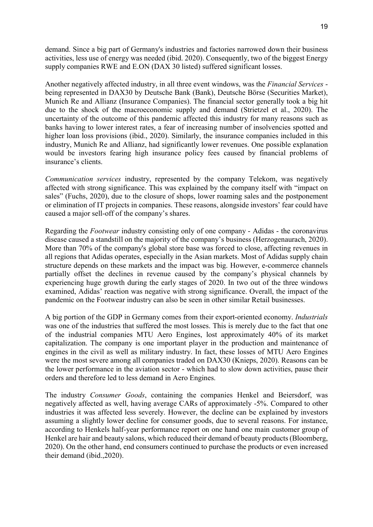demand. Since a big part of Germany's industries and factories narrowed down their business activities, less use of energy was needed (ibid. 2020). Consequently, two of the biggest Energy supply companies RWE and E.ON (DAX 30 listed) suffered significant losses.

Another negatively affected industry, in all three event windows, was the Financial Services being represented in DAX30 by Deutsche Bank (Bank), Deutsche Börse (Securities Market), Munich Re and Allianz (Insurance Companies). The financial sector generally took a big hit due to the shock of the macroeconomic supply and demand (Strietzel et al., 2020). The uncertainty of the outcome of this pandemic affected this industry for many reasons such as banks having to lower interest rates, a fear of increasing number of insolvencies spotted and higher loan loss provisions (ibid., 2020). Similarly, the insurance companies included in this industry, Munich Re and Allianz, had significantly lower revenues. One possible explanation would be investors fearing high insurance policy fees caused by financial problems of insurance's clients.

Communication services industry, represented by the company Telekom, was negatively affected with strong significance. This was explained by the company itself with "impact on sales" (Fuchs, 2020), due to the closure of shops, lower roaming sales and the postponement or elimination of IT projects in companies. These reasons, alongside investors' fear could have caused a major sell-off of the company's shares.

Regarding the Footwear industry consisting only of one company - Adidas - the coronavirus disease caused a standstill on the majority of the company's business (Herzogenaurach, 2020). More than 70% of the company's global store base was forced to close, affecting revenues in all regions that Adidas operates, especially in the Asian markets. Most of Adidas supply chain structure depends on these markets and the impact was big. However, e-commerce channels partially offset the declines in revenue caused by the company's physical channels by experiencing huge growth during the early stages of 2020. In two out of the three windows examined, Adidas' reaction was negative with strong significance. Overall, the impact of the pandemic on the Footwear industry can also be seen in other similar Retail businesses.

A big portion of the GDP in Germany comes from their export-oriented economy. Industrials was one of the industries that suffered the most losses. This is merely due to the fact that one of the industrial companies MTU Aero Engines, lost approximately 40% of its market capitalization. The company is one important player in the production and maintenance of engines in the civil as well as military industry. In fact, these losses of MTU Aero Engines were the most severe among all companies traded on DAX30 (Knieps, 2020). Reasons can be the lower performance in the aviation sector - which had to slow down activities, pause their orders and therefore led to less demand in Aero Engines.

The industry Consumer Goods, containing the companies Henkel and Beiersdorf, was negatively affected as well, having average CARs of approximately -5%. Compared to other industries it was affected less severely. However, the decline can be explained by investors assuming a slightly lower decline for consumer goods, due to several reasons. For instance, according to Henkels half-year performance report on one hand one main customer group of Henkel are hair and beauty salons, which reduced their demand of beauty products (Bloomberg, 2020). On the other hand, end consumers continued to purchase the products or even increased their demand (ibid.,2020).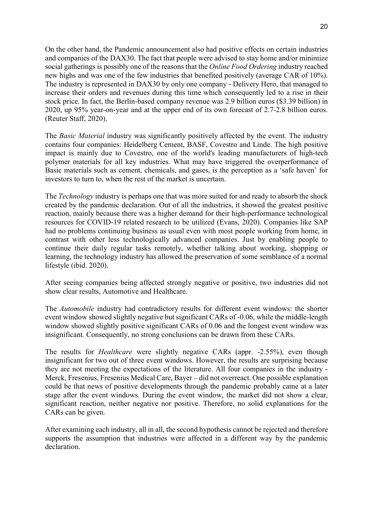On the other hand, the Pandemic announcement also had positive effects on certain industries and companies of the DAX30. The fact that people were advised to stay home and/or minimize social gatherings is possibly one of the reasons that the *Online Food Ordering* industry reached new highs and was one of the few industries that benefited positively (average CAR of 10%). The industry is represented in DAX30 by only one company - Delivery Hero, that managed to increase their orders and revenues during this time which consequently led to a rise in their stock price. In fact, the Berlin-based company revenue was 2.9 billion euros (\$3.39 billion) in 2020, up 95% year-on-year and at the upper end of its own forecast of 2.7-2.8 billion euros. (Reuter Staff, 2020).

The Basic Material industry was significantly positively affected by the event. The industry contains four companies: Heidelberg Cement, BASF, Covestro and Linde. The high positive impact is mainly due to Covestro, one of the world's leading manufacturers of high-tech polymer materials for all key industries. What may have triggered the overperformance of Basic materials such as cement, chemicals, and gases, is the perception as a 'safe haven' for investors to turn to, when the rest of the market is uncertain.

The *Technology* industry is perhaps one that was more suited for and ready to absorb the shock created by the pandemic declaration. Out of all the industries, it showed the greatest positive reaction, mainly because there was a higher demand for their high-performance technological resources for COVID-19 related research to be utilized (Evans, 2020). Companies like SAP had no problems continuing business as usual even with most people working from home, in contrast with other less technologically advanced companies. Just by enabling people to continue their daily regular tasks remotely, whether talking about working, shopping or learning, the technology industry has allowed the preservation of some semblance of a normal lifestyle (ibid. 2020).

After seeing companies being affected strongly negative or positive, two industries did not show clear results, Automotive and Healthcare.

The Automobile industry had contradictory results for different event windows: the shorter event window showed slightly negative but significant CARs of -0.06, while the middle-length window showed slightly positive significant CARs of 0.06 and the longest event window was insignificant. Consequently, no strong conclusions can be drawn from these CARs.

The results for *Healthcare* were slightly negative CARs (appr. -2.55%), even though insignificant for two out of three event windows. However, the results are surprising because they are not meeting the expectations of the literature. All four companies in the industry - Merck, Fresenius, Fresenius Medical Care, Bayer – did not overreact. One possible explanation could be that news of positive developments through the pandemic probably came at a later stage after the event windows. During the event window, the market did not show a clear, significant reaction, neither negative nor positive. Therefore, no solid explanations for the CARs can be given.

After examining each industry, all in all, the second hypothesis cannot be rejected and therefore supports the assumption that industries were affected in a different way by the pandemic declaration.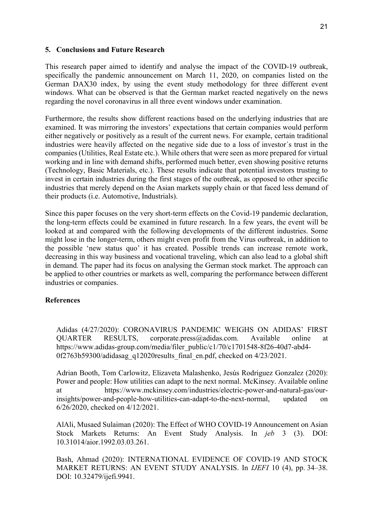### 5. Conclusions and Future Research

This research paper aimed to identify and analyse the impact of the COVID-19 outbreak, specifically the pandemic announcement on March 11, 2020, on companies listed on the German DAX30 index, by using the event study methodology for three different event windows. What can be observed is that the German market reacted negatively on the news regarding the novel coronavirus in all three event windows under examination.

Furthermore, the results show different reactions based on the underlying industries that are examined. It was mirroring the investors' expectations that certain companies would perform either negatively or positively as a result of the current news. For example, certain traditional industries were heavily affected on the negative side due to a loss of investor´s trust in the companies (Utilities, Real Estate etc.). While others that were seen as more prepared for virtual working and in line with demand shifts, performed much better, even showing positive returns (Technology, Basic Materials, etc.). These results indicate that potential investors trusting to invest in certain industries during the first stages of the outbreak, as opposed to other specific industries that merely depend on the Asian markets supply chain or that faced less demand of their products (i.e. Automotive, Industrials).

Since this paper focuses on the very short-term effects on the Covid-19 pandemic declaration, the long-term effects could be examined in future research. In a few years, the event will be looked at and compared with the following developments of the different industries. Some might lose in the longer-term, others might even profit from the Virus outbreak, in addition to the possible 'new status quo' it has created. Possible trends can increase remote work, decreasing in this way business and vocational traveling, which can also lead to a global shift in demand. The paper had its focus on analysing the German stock market. The approach can be applied to other countries or markets as well, comparing the performance between different industries or companies.

### References

Adidas (4/27/2020): CORONAVIRUS PANDEMIC WEIGHS ON ADIDAS' FIRST QUARTER RESULTS, corporate.press@adidas.com. Available online at https://www.adidas-group.com/media/filer\_public/c1/70/c1701548-8f26-40d7-abd4- 0f2763b59300/adidasag\_q12020results\_final\_en.pdf, checked on 4/23/2021.

Adrian Booth, Tom Carlowitz, Elizaveta Malashenko, Jesús Rodriguez Gonzalez (2020): Power and people: How utilities can adapt to the next normal. McKinsey. Available online at https://www.mckinsey.com/industries/electric-power-and-natural-gas/ourinsights/power-and-people-how-utilities-can-adapt-to-the-next-normal, updated on 6/26/2020, checked on 4/12/2021.

AlAli, Musaed Sulaiman (2020): The Effect of WHO COVID-19 Announcement on Asian Stock Markets Returns: An Event Study Analysis. In jeb 3 (3). DOI: 10.31014/aior.1992.03.03.261.

Bash, Ahmad (2020): INTERNATIONAL EVIDENCE OF COVID-19 AND STOCK MARKET RETURNS: AN EVENT STUDY ANALYSIS. In IJEFI 10 (4), pp. 34–38. DOI: 10.32479/ijefi.9941.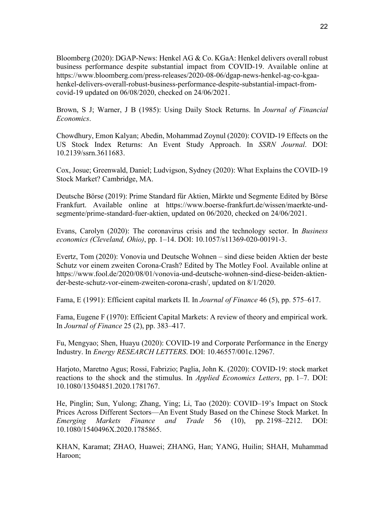Bloomberg (2020): DGAP-News: Henkel AG & Co. KGaA: Henkel delivers overall robust business performance despite substantial impact from COVID-19. Available online at https://www.bloomberg.com/press-releases/2020-08-06/dgap-news-henkel-ag-co-kgaahenkel-delivers-overall-robust-business-performance-despite-substantial-impact-fromcovid-19 updated on 06/08/2020, checked on 24/06/2021.

Brown, S J; Warner, J B (1985): Using Daily Stock Returns. In Journal of Financial Economics.

Chowdhury, Emon Kalyan; Abedin, Mohammad Zoynul (2020): COVID-19 Effects on the US Stock Index Returns: An Event Study Approach. In SSRN Journal. DOI: 10.2139/ssrn.3611683.

Cox, Josue; Greenwald, Daniel; Ludvigson, Sydney (2020): What Explains the COVID-19 Stock Market? Cambridge, MA.

Deutsche Börse (2019): Prime Standard für Aktien, Märkte und Segmente Edited by Börse Frankfurt. Available online at https://www.boerse-frankfurt.de/wissen/maerkte-undsegmente/prime-standard-fuer-aktien, updated on 06/2020, checked on 24/06/2021.

Evans, Carolyn (2020): The coronavirus crisis and the technology sector. In Business economics (Cleveland, Ohio), pp. 1–14. DOI: 10.1057/s11369-020-00191-3.

Evertz, Tom (2020): Vonovia und Deutsche Wohnen – sind diese beiden Aktien der beste Schutz vor einem zweiten Corona-Crash? Edited by The Motley Fool. Available online at https://www.fool.de/2020/08/01/vonovia-und-deutsche-wohnen-sind-diese-beiden-aktiender-beste-schutz-vor-einem-zweiten-corona-crash/, updated on 8/1/2020.

Fama, E (1991): Efficient capital markets II. In Journal of Finance 46 (5), pp. 575–617.

Fama, Eugene F (1970): Efficient Capital Markets: A review of theory and empirical work. In Journal of Finance 25 (2), pp. 383–417.

Fu, Mengyao; Shen, Huayu (2020): COVID-19 and Corporate Performance in the Energy Industry. In Energy RESEARCH LETTERS. DOI: 10.46557/001c.12967.

Harjoto, Maretno Agus; Rossi, Fabrizio; Paglia, John K. (2020): COVID-19: stock market reactions to the shock and the stimulus. In Applied Economics Letters, pp. 1–7. DOI: 10.1080/13504851.2020.1781767.

He, Pinglin; Sun, Yulong; Zhang, Ying; Li, Tao (2020): COVID–19's Impact on Stock Prices Across Different Sectors—An Event Study Based on the Chinese Stock Market. In Emerging Markets Finance and Trade 56 (10), pp. 2198–2212. DOI: 10.1080/1540496X.2020.1785865.

KHAN, Karamat; ZHAO, Huawei; ZHANG, Han; YANG, Huilin; SHAH, Muhammad Haroon;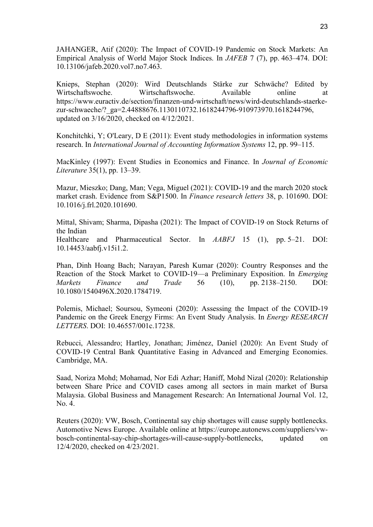JAHANGER, Atif (2020): The Impact of COVID-19 Pandemic on Stock Markets: An Empirical Analysis of World Major Stock Indices. In JAFEB 7 (7), pp. 463–474. DOI: 10.13106/jafeb.2020.vol7.no7.463.

Knieps, Stephan (2020): Wird Deutschlands Stärke zur Schwäche? Edited by Wirtschaftswoche. Wirtschaftswoche. Available online at https://www.euractiv.de/section/finanzen-und-wirtschaft/news/wird-deutschlands-staerkezur-schwaeche/? ga=2.44888676.1130110732.1618244796-910973970.1618244796, updated on 3/16/2020, checked on 4/12/2021.

Konchitchki, Y; O'Leary, D E (2011): Event study methodologies in information systems research. In International Journal of Accounting Information Systems 12, pp. 99–115.

MacKinley (1997): Event Studies in Economics and Finance. In Journal of Economic Literature 35(1), pp. 13–39.

Mazur, Mieszko; Dang, Man; Vega, Miguel (2021): COVID-19 and the march 2020 stock market crash. Evidence from S&P1500. In Finance research letters 38, p. 101690. DOI: 10.1016/j.frl.2020.101690.

Mittal, Shivam; Sharma, Dipasha (2021): The Impact of COVID-19 on Stock Returns of the Indian

Healthcare and Pharmaceutical Sector. In AABFJ 15 (1), pp. 5–21. DOI: 10.14453/aabfj.v15i1.2.

Phan, Dinh Hoang Bach; Narayan, Paresh Kumar (2020): Country Responses and the Reaction of the Stock Market to COVID-19—a Preliminary Exposition. In Emerging Markets Finance and Trade 56 (10), pp. 2138–2150. DOI: 10.1080/1540496X.2020.1784719.

Polemis, Michael; Soursou, Symeoni (2020): Assessing the Impact of the COVID-19 Pandemic on the Greek Energy Firms: An Event Study Analysis. In Energy RESEARCH LETTERS. DOI: 10.46557/001c.17238.

Rebucci, Alessandro; Hartley, Jonathan; Jiménez, Daniel (2020): An Event Study of COVID-19 Central Bank Quantitative Easing in Advanced and Emerging Economies. Cambridge, MA.

Saad, Noriza Mohd; Mohamad, Nor Edi Azhar; Haniff, Mohd Nizal (2020): Relationship between Share Price and COVID cases among all sectors in main market of Bursa Malaysia. Global Business and Management Research: An International Journal Vol. 12, No. 4.

Reuters (2020): VW, Bosch, Continental say chip shortages will cause supply bottlenecks. Automotive News Europe. Available online at https://europe.autonews.com/suppliers/vwbosch-continental-say-chip-shortages-will-cause-supply-bottlenecks, updated on 12/4/2020, checked on 4/23/2021.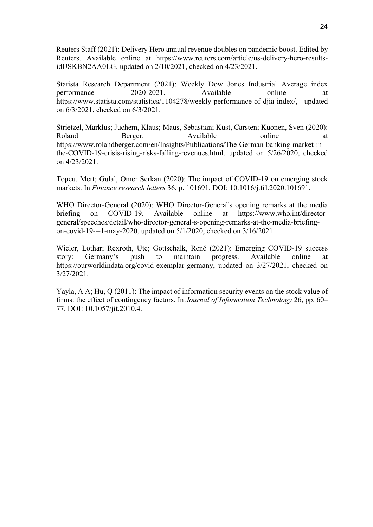Reuters Staff (2021): Delivery Hero annual revenue doubles on pandemic boost. Edited by Reuters. Available online at https://www.reuters.com/article/us-delivery-hero-resultsidUSKBN2AA0LG, updated on 2/10/2021, checked on 4/23/2021.

Statista Research Department (2021): Weekly Dow Jones Industrial Average index performance 2020-2021. Available online at https://www.statista.com/statistics/1104278/weekly-performance-of-djia-index/, updated on 6/3/2021, checked on 6/3/2021.

Strietzel, Marklus; Juchem, Klaus; Maus, Sebastian; Küst, Carsten; Kuonen, Sven (2020): Roland Berger. Available online at https://www.rolandberger.com/en/Insights/Publications/The-German-banking-market-inthe-COVID-19-crisis-rising-risks-falling-revenues.html, updated on 5/26/2020, checked on 4/23/2021.

Topcu, Mert; Gulal, Omer Serkan (2020): The impact of COVID-19 on emerging stock markets. In Finance research letters 36, p. 101691. DOI: 10.1016/j.frl.2020.101691.

WHO Director-General (2020): WHO Director-General's opening remarks at the media briefing on COVID-19. Available online at https://www.who.int/directorgeneral/speeches/detail/who-director-general-s-opening-remarks-at-the-media-briefingon-covid-19---1-may-2020, updated on 5/1/2020, checked on 3/16/2021.

Wieler, Lothar; Rexroth, Ute; Gottschalk, René (2021): Emerging COVID-19 success story: Germany's push to maintain progress. Available online at https://ourworldindata.org/covid-exemplar-germany, updated on 3/27/2021, checked on 3/27/2021.

Yayla, A A; Hu, O (2011): The impact of information security events on the stock value of firms: the effect of contingency factors. In Journal of Information Technology 26, pp. 60– 77. DOI: 10.1057/jit.2010.4.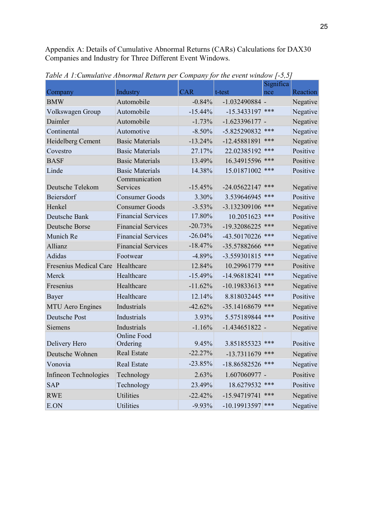Appendix A: Details of Cumulative Abnormal Returns (CARs) Calculations for DAX30 Companies and Industry for Three Different Event Windows.

|                                   |                           |            |                    | Significa |                 |
|-----------------------------------|---------------------------|------------|--------------------|-----------|-----------------|
| Company                           | Industry                  | <b>CAR</b> | t-test             | nce       | <b>Reaction</b> |
| <b>BMW</b>                        | Automobile                | $-0.84%$   | $-1.032490884$ -   |           | Negative        |
| Volkswagen Group                  | Automobile                | $-15.44%$  | $-15.3433197$      | ***       | Negative        |
| Daimler                           | Automobile                | $-1.73%$   | $-1.623396177 -$   |           | Negative        |
| Continental                       | Automotive                | $-8.50%$   | -5.825290832       | ***       | Negative        |
| Heidelberg Cement                 | <b>Basic Materials</b>    | $-13.24%$  | -12.45881891       | ***       | Negative        |
| Covestro                          | <b>Basic Materials</b>    | 27.17%     | 22.02385192        | ***       | Positive        |
| <b>BASF</b>                       | <b>Basic Materials</b>    | 13.49%     | 16.34915596        | ***       | Positive        |
| Linde                             | <b>Basic Materials</b>    | 14.38%     | 15.01871002        | ***       | Positive        |
| Deutsche Telekom                  | Communication<br>Services | $-15.45%$  | $-24.05622147$     | ***       | Negative        |
| Beiersdorf                        | <b>Consumer Goods</b>     | 3.30%      | 3.539646945        | ***       | Positive        |
| Henkel                            | <b>Consumer Goods</b>     | $-3.53%$   | -3.132309106       | ***       | Negative        |
| Deutsche Bank                     | <b>Financial Services</b> | 17.80%     | 10.2051623         | ***       | Positive        |
| Deutsche Borse                    | <b>Financial Services</b> | $-20.73%$  | -19.32086225       | ***       | Negative        |
| Munich Re                         | <b>Financial Services</b> | $-26.04%$  | -43.50170226       | ***       | Negative        |
| Allianz                           | <b>Financial Services</b> | $-18.47%$  | -35.57882666       | ***       | Negative        |
| Adidas                            | Footwear                  | $-4.89%$   | -3.559301815       | ***       | Negative        |
| Fresenius Medical Care Healthcare |                           | 12.84%     | 10.29961779        | ***       | Positive        |
| Merck                             | Healthcare                | $-15.49%$  | -14.96818241       | ***       | Negative        |
| Fresenius                         | Healthcare                | $-11.62%$  | -10.19833613       | ***       | Negative        |
| Bayer                             | Healthcare                | 12.14%     | 8.818032445        | ***       | Positive        |
| <b>MTU</b> Aero Engines           | Industrials               | $-42.62%$  | -35.14168679       | ***       | Negative        |
| Deutsche Post                     | Industrials               | 3.93%      | 5.575189844        | ***       | Positive        |
| Siemens                           | Industrials               | $-1.16%$   | $-1.434651822$ -   |           | Negative        |
| Delivery Hero                     | Online Food<br>Ordering   | 9.45%      | 3.851855323        | ***       | Positive        |
| Deutsche Wohnen                   | <b>Real Estate</b>        | $-22.27%$  | $-13.7311679$      | ***       | Negative        |
| Vonovia                           | Real Estate               | $-23.85%$  | $-18.86582526$ *** |           | Negative        |
| Infineon Technologies             | Technology                | 2.63%      | $1.607060977 -$    |           | Positive        |
| <b>SAP</b>                        | Technology                | 23.49%     | 18.6279532 ***     |           | Positive        |
| <b>RWE</b>                        | <b>Utilities</b>          | $-22.42%$  | $-15.94719741$     | ***       | Negative        |
| E.ON                              | Utilities                 | $-9.93\%$  | $-10.19913597$ *** |           | Negative        |

Table A 1:Cumulative Abnormal Return per Company for the event window [-5,5]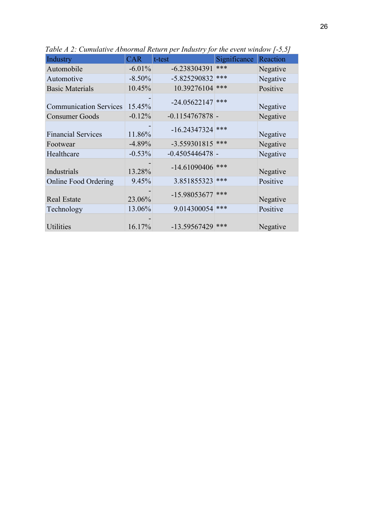| Industry                      | <b>CAR</b> | t-test            | Significance | Reaction |
|-------------------------------|------------|-------------------|--------------|----------|
| Automobile                    | $-6.01%$   | $-6.238304391$    | ***          | Negative |
| Automotive                    | $-8.50%$   | -5.825290832      | ***          | Negative |
| <b>Basic Materials</b>        | 10.45%     | 10.39276104       | ***          | Positive |
| <b>Communication Services</b> | 15.45%     | $-24.05622147$    | ***          | Negative |
| <b>Consumer Goods</b>         | $-0.12%$   | $-0.1154767878$ - |              | Negative |
| <b>Financial Services</b>     | 11.86%     | $-16.24347324$    | ***          | Negative |
| Footwear                      | $-4.89%$   | $-3.559301815$    | ***          | Negative |
| Healthcare                    | $-0.53%$   | $-0.4505446478$ - |              | Negative |
| Industrials                   | 13.28%     | $-14.61090406$    | ***          | Negative |
| <b>Online Food Ordering</b>   | 9.45%      | 3.851855323       | ***          | Positive |
| <b>Real Estate</b>            | 23.06%     | -15.98053677      | ***          | Negative |
| Technology                    | 13.06%     | 9.014300054       | ***          | Positive |
| <b>Utilities</b>              | 16.17%     | -13.59567429      | ***          | Negative |

Table A 2: Cumulative Abnormal Return per Industry for the event window [-5,5]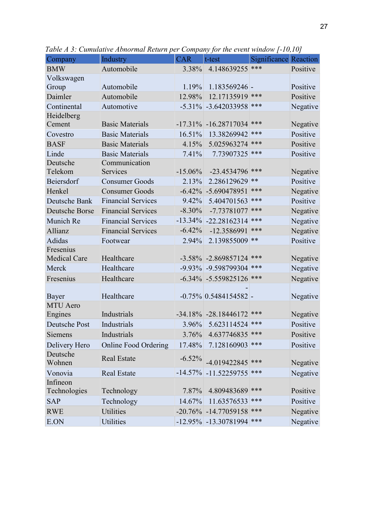| ***<br>Automobile<br>Positive<br><b>BMW</b><br>3.38%<br>4.148639255<br>Volkswagen<br>Automobile<br>1.19%<br>$1.183569246$ -<br>Positive<br>Group<br>Positive<br>Daimler<br>Automobile<br>12.98%<br>12.17135919<br>***<br>Continental<br>***<br>Automotive<br>$-5.31\%$ $-3.642033958$<br>Negative<br>Heidelberg<br>***<br>Cement<br>$-17.31\% -16.28717034$<br>Negative<br><b>Basic Materials</b><br>Positive<br><b>Basic Materials</b><br>16.51%<br>13.38269942<br>***<br>Covestro<br>***<br>Positive<br><b>BASF</b><br><b>Basic Materials</b><br>4.15%<br>5.025963274<br>Linde<br>***<br><b>Basic Materials</b><br>Positive<br>7.41%<br>7.73907325<br>Deutsche<br>Communication<br>Services<br>Telekom<br>$-15.06\%$<br>$-23.4534796$<br>***<br>Negative<br>Positive<br>Beiersdorf<br>**<br><b>Consumer Goods</b><br>2.13%<br>2.286129629<br>Henkel<br>-5.690478951<br>***<br>Negative<br><b>Consumer Goods</b><br>$-6.42%$<br><b>Financial Services</b><br>***<br>Positive<br>Deutsche Bank<br>9.42%<br>5.404701563<br>***<br><b>Deutsche Borse</b><br><b>Financial Services</b><br>$-8.30%$<br>-7.73781077<br>Negative |
|----------------------------------------------------------------------------------------------------------------------------------------------------------------------------------------------------------------------------------------------------------------------------------------------------------------------------------------------------------------------------------------------------------------------------------------------------------------------------------------------------------------------------------------------------------------------------------------------------------------------------------------------------------------------------------------------------------------------------------------------------------------------------------------------------------------------------------------------------------------------------------------------------------------------------------------------------------------------------------------------------------------------------------------------------------------------------------------------------------------------------|
|                                                                                                                                                                                                                                                                                                                                                                                                                                                                                                                                                                                                                                                                                                                                                                                                                                                                                                                                                                                                                                                                                                                            |
|                                                                                                                                                                                                                                                                                                                                                                                                                                                                                                                                                                                                                                                                                                                                                                                                                                                                                                                                                                                                                                                                                                                            |
|                                                                                                                                                                                                                                                                                                                                                                                                                                                                                                                                                                                                                                                                                                                                                                                                                                                                                                                                                                                                                                                                                                                            |
|                                                                                                                                                                                                                                                                                                                                                                                                                                                                                                                                                                                                                                                                                                                                                                                                                                                                                                                                                                                                                                                                                                                            |
|                                                                                                                                                                                                                                                                                                                                                                                                                                                                                                                                                                                                                                                                                                                                                                                                                                                                                                                                                                                                                                                                                                                            |
|                                                                                                                                                                                                                                                                                                                                                                                                                                                                                                                                                                                                                                                                                                                                                                                                                                                                                                                                                                                                                                                                                                                            |
|                                                                                                                                                                                                                                                                                                                                                                                                                                                                                                                                                                                                                                                                                                                                                                                                                                                                                                                                                                                                                                                                                                                            |
|                                                                                                                                                                                                                                                                                                                                                                                                                                                                                                                                                                                                                                                                                                                                                                                                                                                                                                                                                                                                                                                                                                                            |
|                                                                                                                                                                                                                                                                                                                                                                                                                                                                                                                                                                                                                                                                                                                                                                                                                                                                                                                                                                                                                                                                                                                            |
|                                                                                                                                                                                                                                                                                                                                                                                                                                                                                                                                                                                                                                                                                                                                                                                                                                                                                                                                                                                                                                                                                                                            |
|                                                                                                                                                                                                                                                                                                                                                                                                                                                                                                                                                                                                                                                                                                                                                                                                                                                                                                                                                                                                                                                                                                                            |
|                                                                                                                                                                                                                                                                                                                                                                                                                                                                                                                                                                                                                                                                                                                                                                                                                                                                                                                                                                                                                                                                                                                            |
|                                                                                                                                                                                                                                                                                                                                                                                                                                                                                                                                                                                                                                                                                                                                                                                                                                                                                                                                                                                                                                                                                                                            |
|                                                                                                                                                                                                                                                                                                                                                                                                                                                                                                                                                                                                                                                                                                                                                                                                                                                                                                                                                                                                                                                                                                                            |
|                                                                                                                                                                                                                                                                                                                                                                                                                                                                                                                                                                                                                                                                                                                                                                                                                                                                                                                                                                                                                                                                                                                            |
|                                                                                                                                                                                                                                                                                                                                                                                                                                                                                                                                                                                                                                                                                                                                                                                                                                                                                                                                                                                                                                                                                                                            |
| Munich Re<br><b>Financial Services</b><br>$-13.34\%$<br>Negative<br>$-22.28162314$<br>***                                                                                                                                                                                                                                                                                                                                                                                                                                                                                                                                                                                                                                                                                                                                                                                                                                                                                                                                                                                                                                  |
| ***<br>Negative<br>Allianz<br><b>Financial Services</b><br>$-6.42%$<br>-12.3586991                                                                                                                                                                                                                                                                                                                                                                                                                                                                                                                                                                                                                                                                                                                                                                                                                                                                                                                                                                                                                                         |
| Adidas<br>Positive<br>**<br>2.94%<br>2.139855009<br>Footwear                                                                                                                                                                                                                                                                                                                                                                                                                                                                                                                                                                                                                                                                                                                                                                                                                                                                                                                                                                                                                                                               |
| Fresenius                                                                                                                                                                                                                                                                                                                                                                                                                                                                                                                                                                                                                                                                                                                                                                                                                                                                                                                                                                                                                                                                                                                  |
| Healthcare<br><b>Medical Care</b><br>$-3.58\% -2.869857124$<br>***<br>Negative                                                                                                                                                                                                                                                                                                                                                                                                                                                                                                                                                                                                                                                                                                                                                                                                                                                                                                                                                                                                                                             |
| ***<br>Negative<br>Healthcare<br>-9.93% -9.598799304<br>Merck                                                                                                                                                                                                                                                                                                                                                                                                                                                                                                                                                                                                                                                                                                                                                                                                                                                                                                                                                                                                                                                              |
| ***<br>Healthcare<br>$-6.34\% -5.559825126$<br>Negative<br>Fresenius                                                                                                                                                                                                                                                                                                                                                                                                                                                                                                                                                                                                                                                                                                                                                                                                                                                                                                                                                                                                                                                       |
|                                                                                                                                                                                                                                                                                                                                                                                                                                                                                                                                                                                                                                                                                                                                                                                                                                                                                                                                                                                                                                                                                                                            |
| Healthcare<br>$-0.75\%$ 0.5484154582 -<br>Negative<br>Bayer                                                                                                                                                                                                                                                                                                                                                                                                                                                                                                                                                                                                                                                                                                                                                                                                                                                                                                                                                                                                                                                                |
| <b>MTU</b> Aero                                                                                                                                                                                                                                                                                                                                                                                                                                                                                                                                                                                                                                                                                                                                                                                                                                                                                                                                                                                                                                                                                                            |
| Industrials<br>$-34.18\% -28.18446172$<br>***<br>Negative<br>Engines                                                                                                                                                                                                                                                                                                                                                                                                                                                                                                                                                                                                                                                                                                                                                                                                                                                                                                                                                                                                                                                       |
| Industrials<br>5.623114524<br>***<br>Positive<br>Deutsche Post<br>3.96%                                                                                                                                                                                                                                                                                                                                                                                                                                                                                                                                                                                                                                                                                                                                                                                                                                                                                                                                                                                                                                                    |
| 3.76% 4.637746835<br>Industrials<br>Positive<br>Siemens                                                                                                                                                                                                                                                                                                                                                                                                                                                                                                                                                                                                                                                                                                                                                                                                                                                                                                                                                                                                                                                                    |
| 7.128160903 ***<br>Delivery Hero<br><b>Online Food Ordering</b><br>17.48%<br>Positive                                                                                                                                                                                                                                                                                                                                                                                                                                                                                                                                                                                                                                                                                                                                                                                                                                                                                                                                                                                                                                      |
| Deutsche<br><b>Real Estate</b><br>$-6.52%$<br>$-4.019422845$<br>***<br>Wohnen<br>Negative                                                                                                                                                                                                                                                                                                                                                                                                                                                                                                                                                                                                                                                                                                                                                                                                                                                                                                                                                                                                                                  |
| $-14.57\%$<br>$-11.52259755$<br>***<br>Negative<br>Vonovia<br><b>Real Estate</b>                                                                                                                                                                                                                                                                                                                                                                                                                                                                                                                                                                                                                                                                                                                                                                                                                                                                                                                                                                                                                                           |
| Infineon                                                                                                                                                                                                                                                                                                                                                                                                                                                                                                                                                                                                                                                                                                                                                                                                                                                                                                                                                                                                                                                                                                                   |
| ***<br>Positive<br>Technologies<br>Technology<br>4.809483689<br>7.87%                                                                                                                                                                                                                                                                                                                                                                                                                                                                                                                                                                                                                                                                                                                                                                                                                                                                                                                                                                                                                                                      |
| Positive<br><b>SAP</b><br>Technology<br>11.63576533<br>***<br>14.67%                                                                                                                                                                                                                                                                                                                                                                                                                                                                                                                                                                                                                                                                                                                                                                                                                                                                                                                                                                                                                                                       |
| <b>Utilities</b><br><b>RWE</b><br>$-20.76\%$ $-14.77059158$<br>***<br>Negative                                                                                                                                                                                                                                                                                                                                                                                                                                                                                                                                                                                                                                                                                                                                                                                                                                                                                                                                                                                                                                             |
| ***<br>Negative<br>Utilities<br>E.ON<br>-12.95% -13.30781994                                                                                                                                                                                                                                                                                                                                                                                                                                                                                                                                                                                                                                                                                                                                                                                                                                                                                                                                                                                                                                                               |

Table A 3: Cumulative Abnormal Return per Company for the event window [-10,10]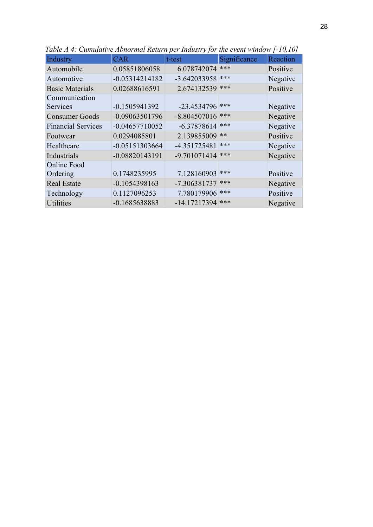| Industry                  | <b>CAR</b>       | t-test             | Significance | Reaction |
|---------------------------|------------------|--------------------|--------------|----------|
| Automobile                | 0.05851806058    | 6.078742074        | ***          | Positive |
| Automotive                | $-0.05314214182$ | $-3.642033958$ *** |              | Negative |
| <b>Basic Materials</b>    | 0.02688616591    | 2.674132539        | ***          | Positive |
| Communication             |                  |                    |              |          |
| <b>Services</b>           | $-0.1505941392$  | $-23.4534796$      | ***          | Negative |
| <b>Consumer Goods</b>     | $-0.09063501796$ | $-8.804507016$     | ***          | Negative |
| <b>Financial Services</b> | $-0.04657710052$ | $-6.37878614$      | ***          | Negative |
| Footwear                  | 0.0294085801     | 2.139855009        | $**$         | Positive |
| Healthcare                | $-0.05151303664$ | $-4.351725481$     | ***          | Negative |
| Industrials               | -0.08820143191   | $-9.701071414$     | ***          | Negative |
| Online Food               |                  |                    |              |          |
| Ordering                  | 0.1748235995     | 7.128160903        | ***          | Positive |
| <b>Real Estate</b>        | $-0.1054398163$  | -7.306381737       | ***          | Negative |
| Technology                | 0.1127096253     | 7.780179906 ***    |              | Positive |
| <b>Utilities</b>          | -0.1685638883    | $-14.17217394$     | ***          | Negative |

Table A 4: Cumulative Abnormal Return per Industry for the event window [-10,10]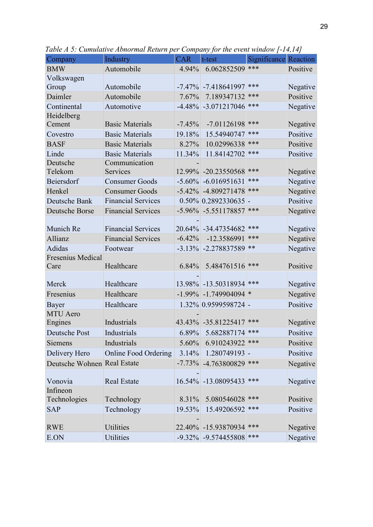| Company                     | Industry                  | <b>CAR</b> | t-test                       | <b>Significance Reaction</b> |          |
|-----------------------------|---------------------------|------------|------------------------------|------------------------------|----------|
| <b>BMW</b>                  | Automobile                | 4.94%      | 6.062852509                  | ***                          | Positive |
| Volkswagen                  |                           |            |                              |                              |          |
| Group                       | Automobile                |            | $-7.47\%$ $-7.418641997$     | ***                          | Negative |
| Daimler                     | Automobile                | $7.67\%$   | 7.189347132                  | ***                          | Positive |
| Continental                 | Automotive                |            | $-4.48\%$ $-3.071217046$     | ***                          | Negative |
| Heidelberg                  |                           |            |                              |                              |          |
| Cement                      | <b>Basic Materials</b>    | $-7.45%$   | $-7.01126198$                | ***                          | Negative |
| Covestro                    | <b>Basic Materials</b>    | 19.18%     | 15.54940747                  | ***                          | Positive |
| <b>BASF</b>                 | <b>Basic Materials</b>    | 8.27%      | 10.02996338                  | ***                          | Positive |
| Linde                       | <b>Basic Materials</b>    | 11.34%     | 11.84142702                  | ***                          | Positive |
| Deutsche                    | Communication             |            |                              |                              |          |
| Telekom                     | Services                  |            | 12.99% -20.23550568          | ***                          | Negative |
| Beiersdorf                  | <b>Consumer Goods</b>     |            | $-5.60\%$ $-6.016951631$     | ***                          | Negative |
| Henkel                      | <b>Consumer Goods</b>     |            | $-5.42\%$ $-4.809271478$ *** |                              | Negative |
| Deutsche Bank               | <b>Financial Services</b> |            | $0.50\%$ 0.2892330635 -      |                              | Positive |
| Deutsche Borse              | <b>Financial Services</b> |            | $-5.96\%$ $-5.551178857$     | ***                          | Negative |
| Munich Re                   | <b>Financial Services</b> |            | 20.64% -34.47354682          | ***                          | Negative |
| Allianz                     | <b>Financial Services</b> | $-6.42%$   | -12.3586991                  | ***                          | Negative |
| Adidas                      | Footwear                  |            | $-3.13\%$ $-2.278837589$     | $***$                        | Negative |
| Fresenius Medical           |                           |            |                              |                              |          |
| Care                        | Healthcare                | 6.84%      | 5.484761516                  | ***                          | Positive |
|                             |                           |            |                              |                              |          |
| Merck                       | Healthcare                |            | 13.98% -13.50318934 ***      |                              | Negative |
| Fresenius                   | Healthcare                |            | $-1.99\%$ $-1.749904094$ *   |                              | Negative |
| Bayer                       | Healthcare                |            | 1.32% 0.9599598724 -         |                              | Positive |
| <b>MTU</b> Aero             |                           |            |                              |                              |          |
| Engines                     | Industrials               |            | 43.43% -35.81225417 ***      |                              | Negative |
| Deutsche Post               | Industrials               |            | 6.89% 5.682887174 ***        |                              | Positive |
| Siemens                     | Industrials               | $5.60\%$   | 6.910243922 ***              |                              | Positive |
| Delivery Hero               | Online Food Ordering      | $3.14\%$   | $1.280749193$ -              |                              | Positive |
| Deutsche Wohnen Real Estate |                           |            | $-7.73\%$ $-4.763800829$ *** |                              | Negative |
|                             |                           |            |                              |                              |          |
| Vonovia                     | <b>Real Estate</b>        |            | 16.54% -13.08095433          | ***                          | Negative |
| Infineon                    |                           |            |                              |                              |          |
| Technologies                | Technology                | 8.31%      | 5.080546028 ***              |                              | Positive |
| <b>SAP</b>                  | Technology                | 19.53%     | 15.49206592 ***              |                              | Positive |
|                             |                           |            |                              |                              |          |
| <b>RWE</b>                  | <b>Utilities</b>          |            | 22.40% -15.93870934 ***      |                              | Negative |
| E.ON                        | Utilities                 |            | $-9.32\%$ $-9.574455808$ *** |                              | Negative |

Table A 5: Cumulative Abnormal Return per Company for the event window [-14,14]